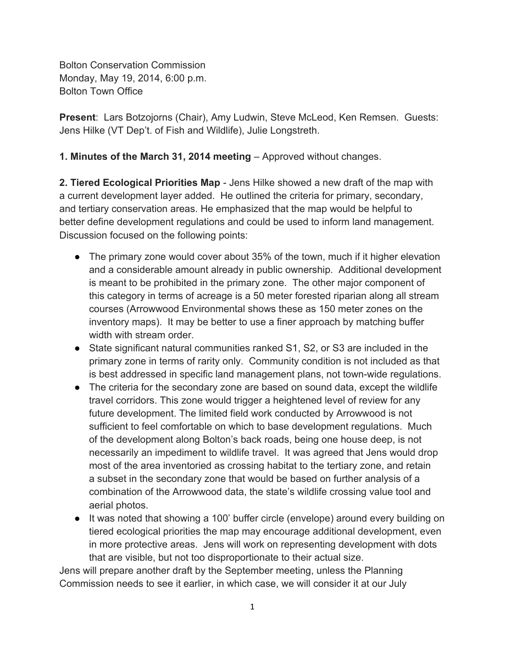Bolton Conservation Commission Monday, May 19, 2014, 6:00 p.m. Bolton Town Office

**Present**: Lars Botzojorns (Chair), Amy Ludwin, Steve McLeod, Ken Remsen. Guests: Jens Hilke (VT Dep't. of Fish and Wildlife), Julie Longstreth.

**1. Minutes of the March 31, 2014 meeting** – Approved without changes.

**2. Tiered Ecological Priorities Map** - Jens Hilke showed a new draft of the map with a current development layer added. He outlined the criteria for primary, secondary, and tertiary conservation areas. He emphasized that the map would be helpful to better define development regulations and could be used to inform land management. Discussion focused on the following points:

- The primary zone would cover about 35% of the town, much if it higher elevation and a considerable amount already in public ownership. Additional development is meant to be prohibited in the primary zone. The other major component of this category in terms of acreage is a 50 meter forested riparian along all stream courses (Arrowwood Environmental shows these as 150 meter zones on the inventory maps). It may be better to use a finer approach by matching buffer width with stream order.
- State significant natural communities ranked S1, S2, or S3 are included in the primary zone in terms of rarity only. Community condition is not included as that is best addressed in specific land management plans, not town-wide regulations.
- The criteria for the secondary zone are based on sound data, except the wildlife travel corridors. This zone would trigger a heightened level of review for any future development. The limited field work conducted by Arrowwood is not sufficient to feel comfortable on which to base development regulations. Much of the development along Bolton's back roads, being one house deep, is not necessarily an impediment to wildlife travel. It was agreed that Jens would drop most of the area inventoried as crossing habitat to the tertiary zone, and retain a subset in the secondary zone that would be based on further analysis of a combination of the Arrowwood data, the state's wildlife crossing value tool and aerial photos.
- It was noted that showing a 100' buffer circle (envelope) around every building on tiered ecological priorities the map may encourage additional development, even in more protective areas. Jens will work on representing development with dots that are visible, but not too disproportionate to their actual size.

Jens will prepare another draft by the September meeting, unless the Planning Commission needs to see it earlier, in which case, we will consider it at our July